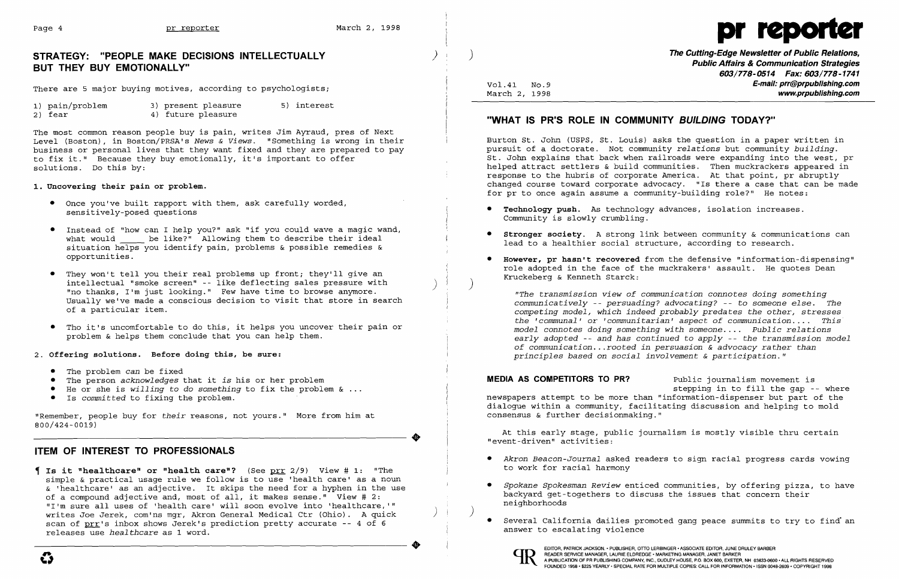

There are 5 major buying motives, according to psychologists; Wol.41 No.9 **E-mail: prr@prpublishing.com**<br>March 2, 1998 **www.prpublishing.com** 

# ) ) **The Cutting-Edge Newsletter of Public Relations, STRATEGY: "PEOPLE MAKE DECISIONS INTELLECTUALLY Public Affairs & Communication Strategies BUT THEY BUY EMOTIONALLY" 603/778-0514 Fax: 603/778-1741**

The most common reason people buy is pain, writes Jim Ayraud, pres of Next Level (Boston), in Boston/PRSA's *News & Views*. "Something is wrong in their Burton St. John (USPS, St. Louis) asks the question in a paper written in<br>business or personal lives that they want fixed and they are prepared business or personal lives that they want fixed and they are prepared to pay to fix it." Because they buy emotionally, it's important to offer to fix it." Because they buy emotionally, it's important to offer The St. John explains that back when railroads were expanding into the west, pr<br>St. John explains that back when railroads were expanding into the west, pre

### 1. Uncovering their pain or problem.

| 1) pain/problem | 3) present pleasure | 5) interest |
|-----------------|---------------------|-------------|
| 2) fear         | 4) future pleasure  |             |

### 2) fear 4) future pleasure **"WHAT IS PR"S ROLE IN COMMUNITY BUILDING TODAY?"**

helped attract settlers & build communities. Then muckrackers appeared in response to the hubris of corporate America. At that point, pr abruptly for pr to once again assume a community-building role?" He notes: toward corporate advocacy. "Is there a case that can be made

- The problem *can* be fixed
- •
- He or she is *willing to do something* to fix the problem & ...<br>• Is committed to fixing the problem.
- 

"Remember, people buy for *their* reasons, not yours." More from him at 800/424-0019)

- **Technology push.** As technology advances, isolation increases. Community is slowly crumbling.
- **Stronger society.** A strong link between community & communications can lead to a healthier social structure, according to research.
- Kruckeberg & Kenneth Starck:
- Once you've built rapport with them, ask carefully worded, sensitively-posed questions
- Instead of "how can I help you?" ask "if you could wave a magic wand, what would \_\_\_\_\_ be like?" Allowing them to describe their ideal situation helps you identify pain, problems & possible remedies & opportunities. **• However, pr hasn't recovered** from the defensive "information-dispensing"
- They won't tell you their real problems up front; they'll give an intellectual "smoke screen" - like deflecting sales pressure with "no thanks, I'm just looking." Few have time to browse anymore. Usually we've made a conscious decision to visit that store in search of a particular item.
- Tho it's uncomfortable to do this, it helps you uncover their pain or problem & helps them conclude that you can help them.

**Is it "healthcare" or "health care"?** (See prr 2/9) View # 1: "The simple & practical usage rule we follow is to use 'health care' as a noun & 'healthcare' as an adjective. It skips the need for a hyphen in the use of a compound adjective and, most of all, it makes sense." View # 2: "I'm sure all uses of 'health care' will soon evolve into 'healthcare, **'"**  writes Joe Jerek, com'ns mgr, Akron General Medical Ctr (Ohio). A quick scan of prr's inbox shows Jerek's prediction pretty accurate -- 4 of 6 releases use *healthcare* as 1 word.

) )

role adopted in the face of the muckrakers' assault. He quotes Dean

*"The transmission view of communication connotes doing something communicatively* - *persuading? advocating?* - to *someone else. The competing model, which indeed probably predates the other, stresses the 'communal'* or *'communitarian' aspect of communication .... This model connotes doing something with someone .* . . . *Public relations early adopted* - *and has continued* to *apply* - *the transmission model of communication ...rooted in persuasion* & *advocacy rather than principles based* on *social involvement* & *participation. "* 

The person *acknowledges* that it *is* his or her problem **MEDIA AS COMPETITORS TO PR?** Public journalism movement is<br>He or she is willing to do something to fix the problem & ... A stepping in to fill the qap -- where newspapers attempt to be more than "information-dispenser but part of the dialogue within a community, facilitating discussion and helping to mold consensus & further decisionmaking."

2. **Offering solutions. Before doing this, be sure:** 

..

At this early stage, public journalism is mostly visible thru certain "event-driven" activities:

### **ITEM OF INTEREST TO PROFESSIONALS**

- *Akron Beacon-Journal* asked readers to sign racial progress cards vowing
- backyard get-togethers to discuss the issues that concern their neighborhoods
- . Several California dailies promoted gang peace summits to try to find an answer to escalating violence



..

) )

*Spokane Spokesman Review* enticed communities, by offering pizza, to have